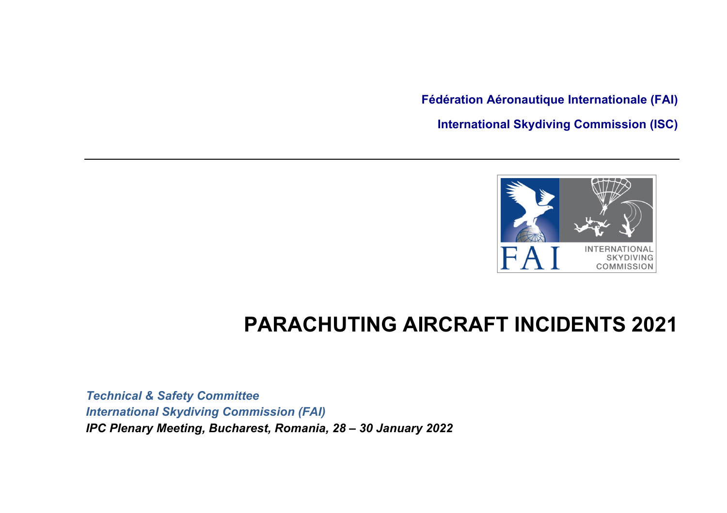**Fédération Aéronautique Internationale (FAI) International Skydiving Commission (ISC)**



## **PARACHUTING AIRCRAFT INCIDENTS 2021**

*Technical & Safety Committee International Skydiving Commission (FAI) IPC Plenary Meeting, Bucharest, Romania, 28 – 30 January 2022*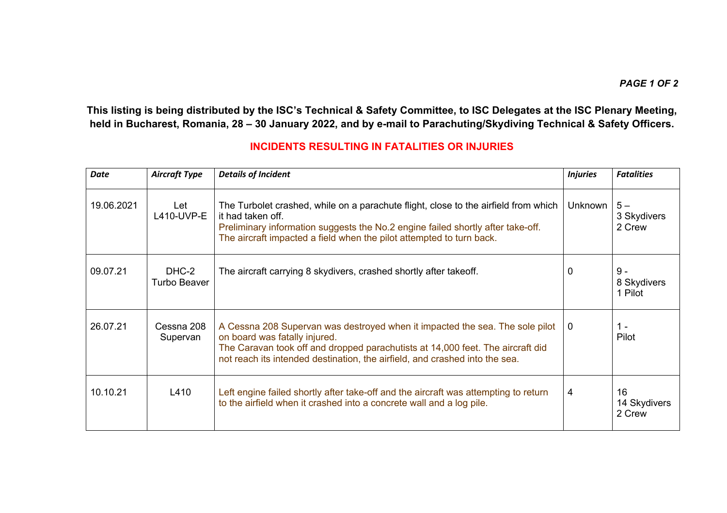**This listing is being distributed by the ISC's Technical & Safety Committee, to ISC Delegates at the ISC Plenary Meeting, held in Bucharest, Romania, 28 – 30 January 2022, and by e-mail to Parachuting/Skydiving Technical & Safety Officers.**

## **INCIDENTS RESULTING IN FATALITIES OR INJURIES**

| <b>Date</b> | <b>Aircraft Type</b>   | <b>Details of Incident</b>                                                                                                                                                                                                                                                     | <b>Injuries</b> | <b>Fatalities</b>               |
|-------------|------------------------|--------------------------------------------------------------------------------------------------------------------------------------------------------------------------------------------------------------------------------------------------------------------------------|-----------------|---------------------------------|
| 19.06.2021  | Let<br>L410-UVP-E      | The Turbolet crashed, while on a parachute flight, close to the airfield from which<br>it had taken off.<br>Preliminary information suggests the No.2 engine failed shortly after take-off.<br>The aircraft impacted a field when the pilot attempted to turn back.            | <b>Unknown</b>  | $5-$<br>3 Skydivers<br>2 Crew   |
| 09.07.21    | DHC-2<br>Turbo Beaver  | The aircraft carrying 8 skydivers, crashed shortly after takeoff.                                                                                                                                                                                                              | 0               | $9 -$<br>8 Skydivers<br>1 Pilot |
| 26.07.21    | Cessna 208<br>Supervan | A Cessna 208 Supervan was destroyed when it impacted the sea. The sole pilot<br>on board was fatally injured.<br>The Caravan took off and dropped parachutists at 14,000 feet. The aircraft did<br>not reach its intended destination, the airfield, and crashed into the sea. | $\Omega$        | $1 -$<br>Pilot                  |
| 10.10.21    | L410                   | Left engine failed shortly after take-off and the aircraft was attempting to return<br>to the airfield when it crashed into a concrete wall and a log pile.                                                                                                                    | 4               | 16<br>14 Skydivers<br>2 Crew    |